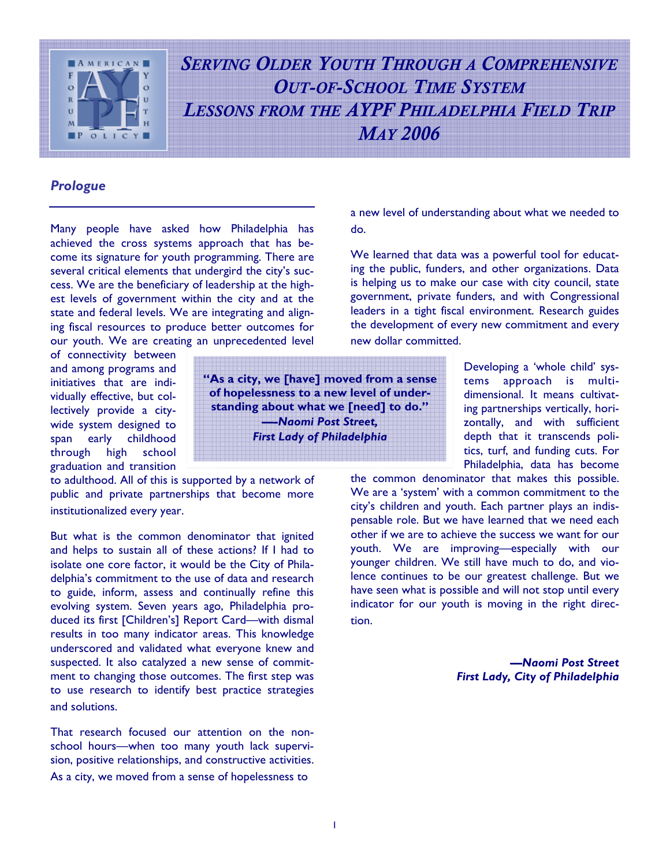

*SERVING OLDER YOUTH THROUGH A COMPREHENSIVE OUT-OF-SCHOOL TIME SYSTEM LESSONS FROM THE AYPF PHILADELPHIA FIELD TRIP MAY 2006*

# *Prologue*

Many people have asked how Philadelphia has achieved the cross systems approach that has become its signature for youth programming. There are several critical elements that undergird the city's success. We are the beneficiary of leadership at the highest levels of government within the city and at the state and federal levels. We are integrating and aligning fiscal resources to produce better outcomes for our youth. We are creating an unprecedented level

of connectivity between and among programs and initiatives that are individually effective, but collectively provide a citywide system designed to span early childhood through high school graduation and transition

to adulthood. All of this is supported by a network of public and private partnerships that become more institutionalized every year.

But what is the common denominator that ignited and helps to sustain all of these actions? If I had to isolate one core factor, it would be the City of Philadelphia's commitment to the use of data and research to guide, inform, assess and continually refine this evolving system. Seven years ago, Philadelphia produced its first [Children's] Report Card—with dismal results in too many indicator areas. This knowledge underscored and validated what everyone knew and suspected. It also catalyzed a new sense of commitment to changing those outcomes. The first step was to use research to identify best practice strategies and solutions.

That research focused our attention on the nonschool hours—when too many youth lack supervision, positive relationships, and constructive activities. As a city, we moved from a sense of hopelessness to

a new level of understanding about what we needed to do.

We learned that data was a powerful tool for educating the public, funders, and other organizations. Data is helping us to make our case with city council, state government, private funders, and with Congressional leaders in a tight fiscal environment. Research guides the development of every new commitment and every new dollar committed.

> Developing a 'whole child' systems approach is multidimensional. It means cultivating partnerships vertically, horizontally, and with sufficient depth that it transcends politics, turf, and funding cuts. For Philadelphia, data has become

the common denominator that makes this possible. We are a 'system' with a common commitment to the city's children and youth. Each partner plays an indispensable role. But we have learned that we need each other if we are to achieve the success we want for our youth. We are improving—especially with our younger children. We still have much to do, and violence continues to be our greatest challenge. But we have seen what is possible and will not stop until every indicator for our youth is moving in the right direction.

> *—Naomi Post Street First Lady, City of Philadelphia*

**"As a city, we [have] moved from a sense of hopelessness to a new level of understanding about what we [need] to do." —***-Naomi Post Street, First Lady of Philadelphia*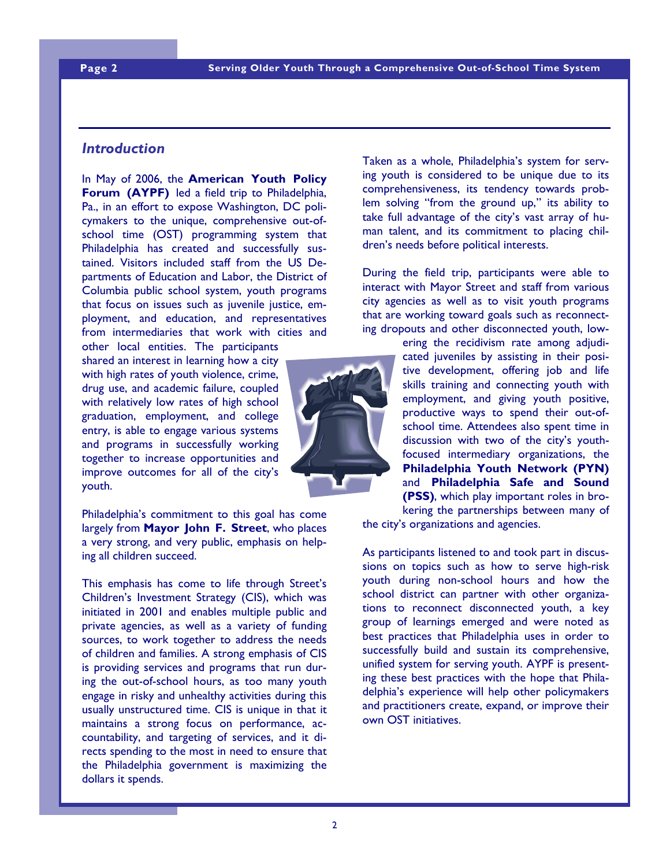# *Introduction*

In May of 2006, the **American Youth Policy Forum (AYPF)** led a field trip to Philadelphia, Pa., in an effort to expose Washington, DC policymakers to the unique, comprehensive out-ofschool time (OST) programming system that Philadelphia has created and successfully sustained. Visitors included staff from the US Departments of Education and Labor, the District of Columbia public school system, youth programs that focus on issues such as juvenile justice, employment, and education, and representatives from intermediaries that work with cities and

other local entities. The participants shared an interest in learning how a city with high rates of youth violence, crime, drug use, and academic failure, coupled with relatively low rates of high school graduation, employment, and college entry, is able to engage various systems and programs in successfully working together to increase opportunities and improve outcomes for all of the city's youth.

Philadelphia's commitment to this goal has come largely from **Mayor John F. Street**, who places a very strong, and very public, emphasis on helping all children succeed.

This emphasis has come to life through Street's Children's Investment Strategy (CIS), which was initiated in 2001 and enables multiple public and private agencies, as well as a variety of funding sources, to work together to address the needs of children and families. A strong emphasis of CIS is providing services and programs that run during the out-of-school hours, as too many youth engage in risky and unhealthy activities during this usually unstructured time. CIS is unique in that it maintains a strong focus on performance, accountability, and targeting of services, and it directs spending to the most in need to ensure that the Philadelphia government is maximizing the dollars it spends.

Taken as a whole, Philadelphia's system for serving youth is considered to be unique due to its comprehensiveness, its tendency towards problem solving "from the ground up," its ability to take full advantage of the city's vast array of human talent, and its commitment to placing children's needs before political interests.

During the field trip, participants were able to interact with Mayor Street and staff from various city agencies as well as to visit youth programs that are working toward goals such as reconnecting dropouts and other disconnected youth, low-

> ering the recidivism rate among adjudicated juveniles by assisting in their positive development, offering job and life skills training and connecting youth with employment, and giving youth positive, productive ways to spend their out-ofschool time. Attendees also spent time in discussion with two of the city's youthfocused intermediary organizations, the **Philadelphia Youth Network (PYN)**  and **Philadelphia Safe and Sound (PSS)**, which play important roles in brokering the partnerships between many of

the city's organizations and agencies.

As participants listened to and took part in discussions on topics such as how to serve high-risk youth during non-school hours and how the school district can partner with other organizations to reconnect disconnected youth, a key group of learnings emerged and were noted as best practices that Philadelphia uses in order to successfully build and sustain its comprehensive, unified system for serving youth. AYPF is presenting these best practices with the hope that Philadelphia's experience will help other policymakers and practitioners create, expand, or improve their own OST initiatives.

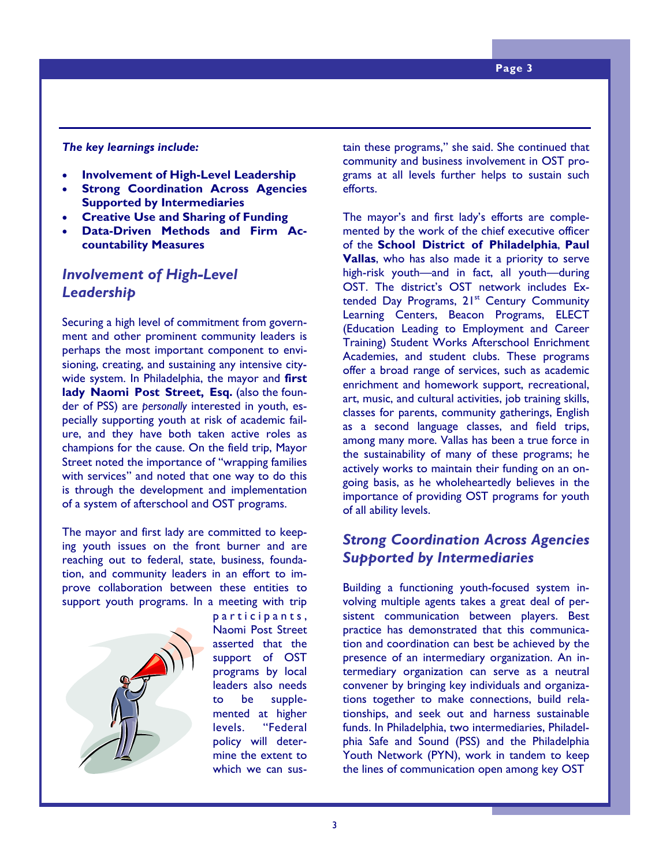#### *The key learnings include:*

- **Involvement of High-Level Leadership**
- **Strong Coordination Across Agencies Supported by Intermediaries**
- **Creative Use and Sharing of Funding**
- **Data-Driven Methods and Firm Accountability Measures**

# *Involvement of High-Level Leadership*

Securing a high level of commitment from government and other prominent community leaders is perhaps the most important component to envisioning, creating, and sustaining any intensive citywide system. In Philadelphia, the mayor and **first lady Naomi Post Street, Esq.** (also the founder of PSS) are *personally* interested in youth, especially supporting youth at risk of academic failure, and they have both taken active roles as champions for the cause. On the field trip, Mayor Street noted the importance of "wrapping families with services" and noted that one way to do this is through the development and implementation of a system of afterschool and OST programs.

The mayor and first lady are committed to keeping youth issues on the front burner and are reaching out to federal, state, business, foundation, and community leaders in an effort to improve collaboration between these entities to support youth programs. In a meeting with trip



participants, Naomi Post Street asserted that the support of OST programs by local leaders also needs to be supplemented at higher levels. "Federal policy will determine the extent to which we can sustain these programs," she said. She continued that community and business involvement in OST programs at all levels further helps to sustain such efforts.

The mayor's and first lady's efforts are complemented by the work of the chief executive officer of the **School District of Philadelphia**, **Paul Vallas**, who has also made it a priority to serve high-risk youth—and in fact, all youth—during OST. The district's OST network includes Extended Day Programs, 21<sup>st</sup> Century Community Learning Centers, Beacon Programs, ELECT (Education Leading to Employment and Career Training) Student Works Afterschool Enrichment Academies, and student clubs. These programs offer a broad range of services, such as academic enrichment and homework support, recreational, art, music, and cultural activities, job training skills, classes for parents, community gatherings, English as a second language classes, and field trips, among many more. Vallas has been a true force in the sustainability of many of these programs; he actively works to maintain their funding on an ongoing basis, as he wholeheartedly believes in the importance of providing OST programs for youth of all ability levels.

# *Strong Coordination Across Agencies Supported by Intermediaries*

Building a functioning youth-focused system involving multiple agents takes a great deal of persistent communication between players. Best practice has demonstrated that this communication and coordination can best be achieved by the presence of an intermediary organization. An intermediary organization can serve as a neutral convener by bringing key individuals and organizations together to make connections, build relationships, and seek out and harness sustainable funds. In Philadelphia, two intermediaries, Philadelphia Safe and Sound (PSS) and the Philadelphia Youth Network (PYN), work in tandem to keep the lines of communication open among key OST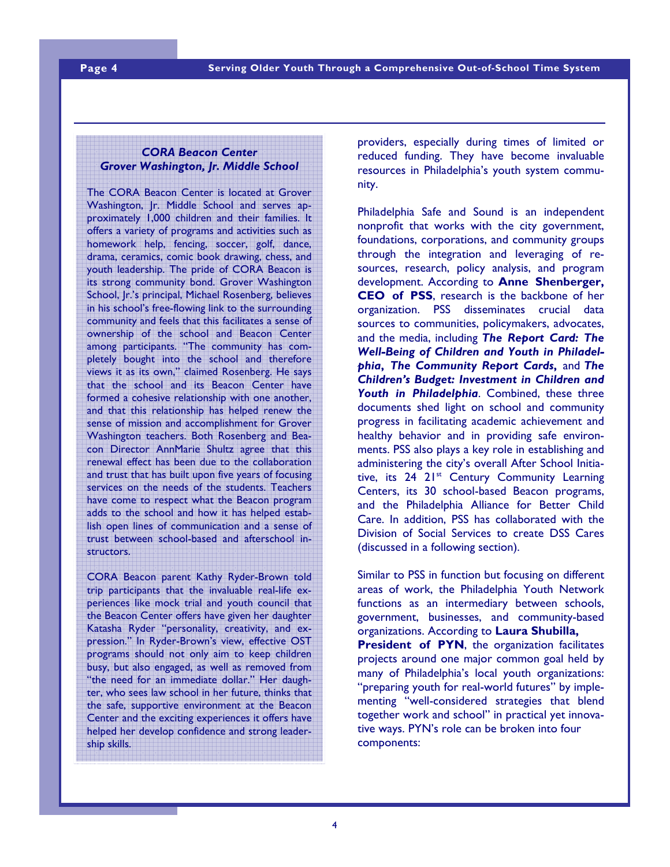## *CORA Beacon Center Grover Washington, Jr. Middle School*

The CORA Beacon Center is located at Grover Washington, Jr. Middle School and serves approximately 1,000 children and their families. It offers a variety of programs and activities such as homework help, fencing, soccer, golf, dance, drama, ceramics, comic book drawing, chess, and youth leadership. The pride of CORA Beacon is its strong community bond. Grover Washington School, Jr.'s principal, Michael Rosenberg, believes in his school's free-flowing link to the surrounding community and feels that this facilitates a sense of ownership of the school and Beacon Center among participants. "The community has completely bought into the school and therefore views it as its own," claimed Rosenberg. He says that the school and its Beacon Center have formed a cohesive relationship with one another, and that this relationship has helped renew the sense of mission and accomplishment for Grover Washington teachers. Both Rosenberg and Beacon Director AnnMarie Shultz agree that this renewal effect has been due to the collaboration and trust that has built upon five years of focusing services on the needs of the students. Teachers have come to respect what the Beacon program adds to the school and how it has helped establish open lines of communication and a sense of trust between school-based and afterschool instructors.

CORA Beacon parent Kathy Ryder-Brown told trip participants that the invaluable real-life experiences like mock trial and youth council that the Beacon Center offers have given her daughter Katasha Ryder "personality, creativity, and expression." In Ryder-Brown's view, effective OST programs should not only aim to keep children busy, but also engaged, as well as removed from "the need for an immediate dollar." Her daughter, who sees law school in her future, thinks that the safe, supportive environment at the Beacon Center and the exciting experiences it offers have helped her develop confidence and strong leadership skills.

providers, especially during times of limited or reduced funding. They have become invaluable resources in Philadelphia's youth system community.

Philadelphia Safe and Sound is an independent nonprofit that works with the city government, foundations, corporations, and community groups through the integration and leveraging of resources, research, policy analysis, and program development. According to **Anne Shenberger, CEO of PSS**, research is the backbone of her organization. PSS disseminates crucial data sources to communities, policymakers, advocates, and the media, including *The Report Card: The Well-Being of Children and Youth in Philadelphia***,** *The Community Report Cards***,** and *The Children's Budget: Investment in Children and Youth in Philadelphia*. Combined, these three documents shed light on school and community progress in facilitating academic achievement and healthy behavior and in providing safe environments. PSS also plays a key role in establishing and administering the city's overall After School Initiative, its 24 21<sup>st</sup> Century Community Learning Centers, its 30 school-based Beacon programs, and the Philadelphia Alliance for Better Child Care. In addition, PSS has collaborated with the Division of Social Services to create DSS Cares (discussed in a following section).

Similar to PSS in function but focusing on different areas of work, the Philadelphia Youth Network functions as an intermediary between schools, government, businesses, and community-based organizations. According to **Laura Shubilla, President of PYN**, the organization facilitates projects around one major common goal held by many of Philadelphia's local youth organizations: "preparing youth for real-world futures" by implementing "well-considered strategies that blend together work and school" in practical yet innovative ways. PYN's role can be broken into four components: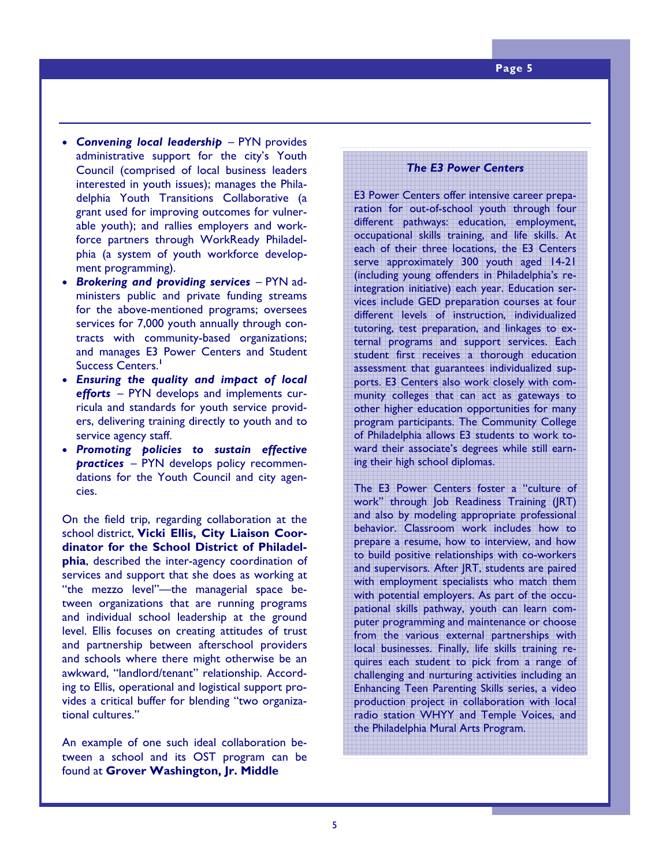- *Convening local leadership* PYN provides administrative support for the city's Youth Council (comprised of local business leaders interested in youth issues); manages the Philadelphia Youth Transitions Collaborative (a grant used for improving outcomes for vulnerable youth); and rallies employers and workforce partners through WorkReady Philadelphia (a system of youth workforce development programming).
- *Brokering and providing services* PYN administers public and private funding streams for the above-mentioned programs; oversees services for 7,000 youth annually through contracts with community-based organizations; and manages E3 Power Centers and Student Success Centers.**<sup>1</sup>**
- *Ensuring the quality and impact of local efforts* – PYN develops and implements curricula and standards for youth service providers, delivering training directly to youth and to service agency staff.
- *Promoting policies to sustain effective practices* – PYN develops policy recommendations for the Youth Council and city agencies.

On the field trip, regarding collaboration at the school district, **Vicki Ellis, City Liaison Coordinator for the School District of Philadelphia**, described the inter-agency coordination of services and support that she does as working at "the mezzo level"—the managerial space between organizations that are running programs and individual school leadership at the ground level. Ellis focuses on creating attitudes of trust and partnership between afterschool providers and schools where there might otherwise be an awkward, "landlord/tenant" relationship. According to Ellis, operational and logistical support provides a critical buffer for blending "two organizational cultures."

An example of one such ideal collaboration between a school and its OST program can be found at **Grover Washington, Jr. Middle** 

#### *The E3 Power Centers*

E3 Power Centers offer intensive career preparation for out-of-school youth through four different pathways: education, employment, occupational skills training, and life skills. At each of their three locations, the E3 Centers serve approximately 300 youth aged 14-21 (including young offenders in Philadelphia's reintegration initiative) each year. Education services include GED preparation courses at four different levels of instruction, individualized tutoring, test preparation, and linkages to external programs and support services. Each student first receives a thorough education assessment that guarantees individualized supports. E3 Centers also work closely with community colleges that can act as gateways to other higher education opportunities for many program participants. The Community College of Philadelphia allows E3 students to work toward their associate's degrees while still earning their high school diplomas.

The E3 Power Centers foster a "culture of work" through Job Readiness Training (JRT) and also by modeling appropriate professional behavior. Classroom work includes how to prepare a resume, how to interview, and how to build positive relationships with co-workers and supervisors. After JRT, students are paired with employment specialists who match them with potential employers. As part of the occupational skills pathway, youth can learn computer programming and maintenance or choose from the various external partnerships with local businesses. Finally, life skills training requires each student to pick from a range of challenging and nurturing activities including an Enhancing Teen Parenting Skills series, a video production project in collaboration with local radio station WHYY and Temple Voices, and the Philadelphia Mural Arts Program.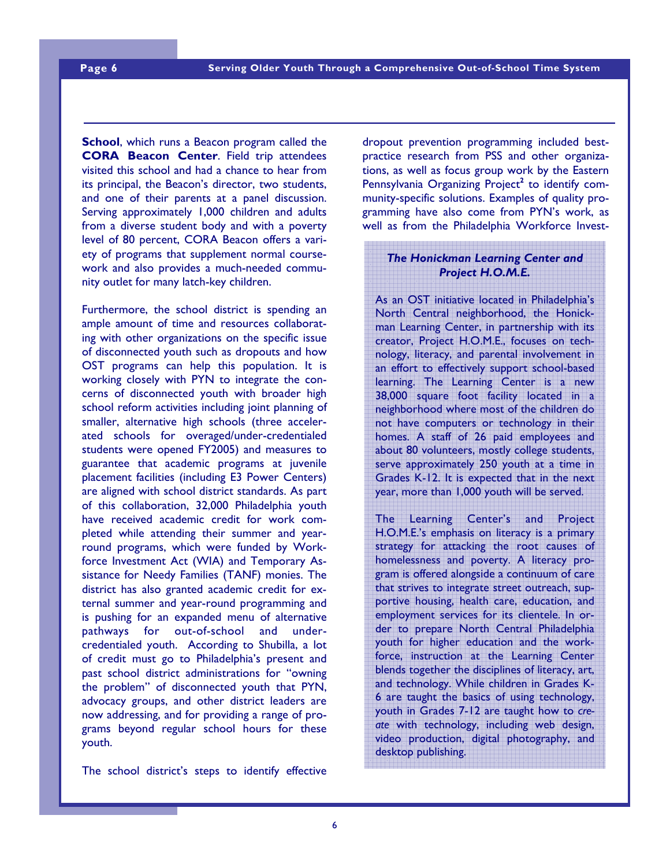**School**, which runs a Beacon program called the **CORA Beacon Center**. Field trip attendees visited this school and had a chance to hear from its principal, the Beacon's director, two students, and one of their parents at a panel discussion. Serving approximately 1,000 children and adults from a diverse student body and with a poverty level of 80 percent, CORA Beacon offers a variety of programs that supplement normal coursework and also provides a much-needed community outlet for many latch-key children.

Furthermore, the school district is spending an ample amount of time and resources collaborating with other organizations on the specific issue of disconnected youth such as dropouts and how OST programs can help this population. It is working closely with PYN to integrate the concerns of disconnected youth with broader high school reform activities including joint planning of smaller, alternative high schools (three accelerated schools for overaged/under-credentialed students were opened FY2005) and measures to guarantee that academic programs at juvenile placement facilities (including E3 Power Centers) are aligned with school district standards. As part of this collaboration, 32,000 Philadelphia youth have received academic credit for work completed while attending their summer and yearround programs, which were funded by Workforce Investment Act (WIA) and Temporary Assistance for Needy Families (TANF) monies. The district has also granted academic credit for external summer and year-round programming and is pushing for an expanded menu of alternative pathways for out-of-school and undercredentialed youth. According to Shubilla, a lot of credit must go to Philadelphia's present and past school district administrations for "owning the problem" of disconnected youth that PYN, advocacy groups, and other district leaders are now addressing, and for providing a range of programs beyond regular school hours for these youth.

The school district's steps to identify effective

dropout prevention programming included bestpractice research from PSS and other organizations, as well as focus group work by the Eastern Pennsylvania Organizing Project<sup>2</sup> to identify community-specific solutions. Examples of quality programming have also come from PYN's work, as well as from the Philadelphia Workforce Invest-

## *The Honickman Learning Center and Project H.O.M.E.*

As an OST initiative located in Philadelphia's North Central neighborhood, the Honickman Learning Center, in partnership with its creator, Project H.O.M.E., focuses on technology, literacy, and parental involvement in an effort to effectively support school-based learning. The Learning Center is a new 38,000 square foot facility located in a neighborhood where most of the children do not have computers or technology in their homes. A staff of 26 paid employees and about 80 volunteers, mostly college students, serve approximately 250 youth at a time in Grades K-12. It is expected that in the next year, more than 1,000 youth will be served.

The Learning Center's and Project H.O.M.E.'s emphasis on literacy is a primary strategy for attacking the root causes of homelessness and poverty. A literacy program is offered alongside a continuum of care that strives to integrate street outreach, supportive housing, health care, education, and employment services for its clientele. In order to prepare North Central Philadelphia youth for higher education and the workforce, instruction at the Learning Center blends together the disciplines of literacy, art, and technology. While children in Grades K-6 are taught the basics of using technology, youth in Grades 7-12 are taught how to *create* with technology, including web design, video production, digital photography, and desktop publishing.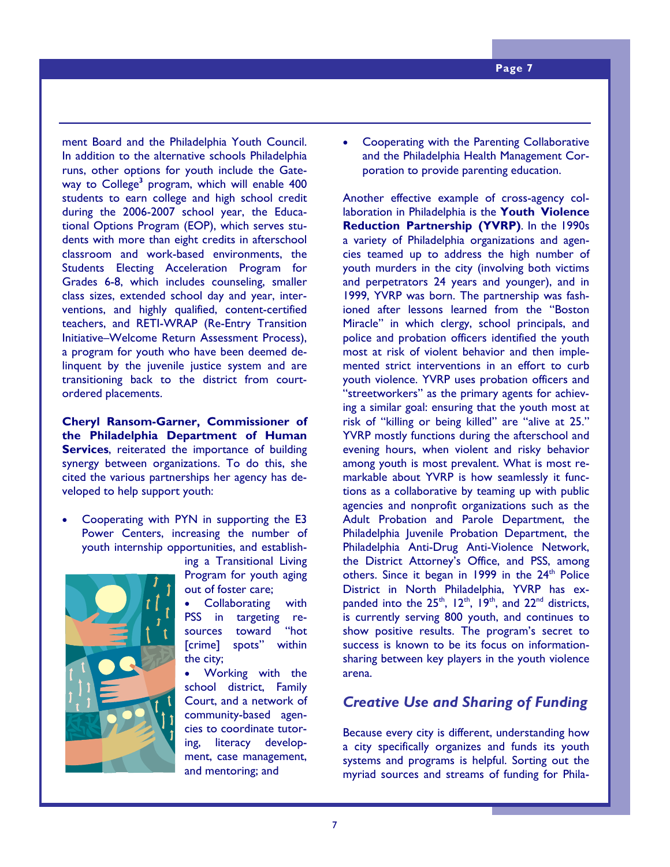ment Board and the Philadelphia Youth Council. In addition to the alternative schools Philadelphia runs, other options for youth include the Gateway to College<sup>3</sup> program, which will enable 400 students to earn college and high school credit during the 2006-2007 school year, the Educational Options Program (EOP), which serves students with more than eight credits in afterschool classroom and work-based environments, the Students Electing Acceleration Program for Grades 6-8, which includes counseling, smaller class sizes, extended school day and year, interventions, and highly qualified, content-certified teachers, and RETI-WRAP (Re-Entry Transition Initiative–Welcome Return Assessment Process), a program for youth who have been deemed delinquent by the juvenile justice system and are transitioning back to the district from courtordered placements.

**Cheryl Ransom-Garner, Commissioner of the Philadelphia Department of Human Services**, reiterated the importance of building synergy between organizations. To do this, she cited the various partnerships her agency has developed to help support youth:

• Cooperating with PYN in supporting the E3 Power Centers, increasing the number of youth internship opportunities, and establish-



ing a Transitional Living Program for youth aging out of foster care;

Collaborating with PSS in targeting resources toward "hot [crime] spots" within the city;

• Working with the school district, Family Court, and a network of community-based agencies to coordinate tutoring, literacy development, case management, and mentoring; and

• Cooperating with the Parenting Collaborative and the Philadelphia Health Management Corporation to provide parenting education.

Another effective example of cross-agency collaboration in Philadelphia is the **Youth Violence Reduction Partnership (YVRP)**. In the 1990s a variety of Philadelphia organizations and agencies teamed up to address the high number of youth murders in the city (involving both victims and perpetrators 24 years and younger), and in 1999, YVRP was born. The partnership was fashioned after lessons learned from the "Boston Miracle" in which clergy, school principals, and police and probation officers identified the youth most at risk of violent behavior and then implemented strict interventions in an effort to curb youth violence. YVRP uses probation officers and "streetworkers" as the primary agents for achieving a similar goal: ensuring that the youth most at risk of "killing or being killed" are "alive at 25." YVRP mostly functions during the afterschool and evening hours, when violent and risky behavior among youth is most prevalent. What is most remarkable about YVRP is how seamlessly it functions as a collaborative by teaming up with public agencies and nonprofit organizations such as the Adult Probation and Parole Department, the Philadelphia Juvenile Probation Department, the Philadelphia Anti-Drug Anti-Violence Network, the District Attorney's Office, and PSS, among others. Since it began in 1999 in the 24<sup>th</sup> Police District in North Philadelphia, YVRP has expanded into the  $25<sup>th</sup>$ ,  $12<sup>th</sup>$ ,  $19<sup>th</sup>$ , and  $22<sup>nd</sup>$  districts, is currently serving 800 youth, and continues to show positive results. The program's secret to success is known to be its focus on informationsharing between key players in the youth violence arena.

# *Creative Use and Sharing of Funding*

Because every city is different, understanding how a city specifically organizes and funds its youth systems and programs is helpful. Sorting out the myriad sources and streams of funding for Phila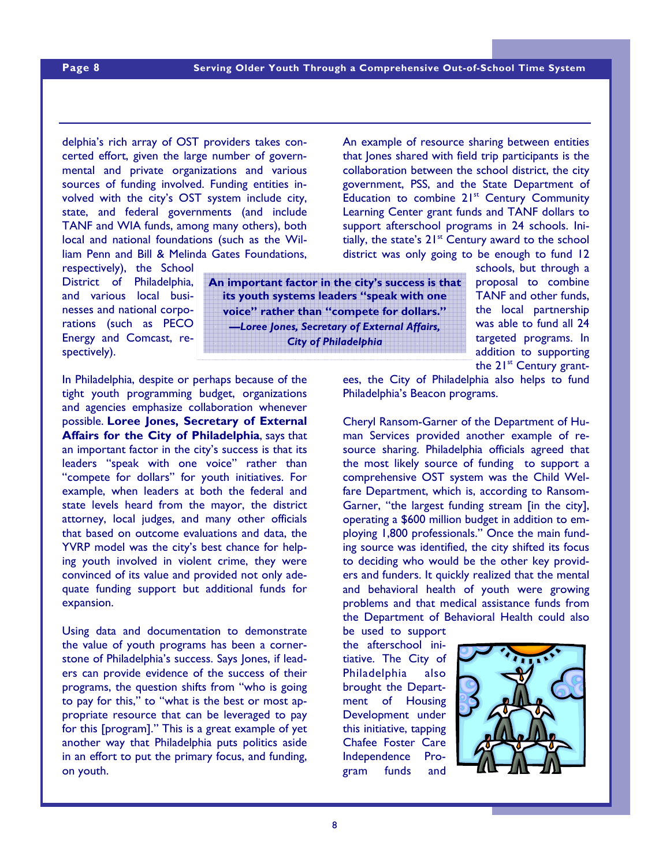delphia's rich array of OST providers takes con-An example of resource sharing between entities

certed effort, given the large number of governmental and private organizations and various sources of funding involved. Funding entities involved with the city's OST system include city, state, and federal governments (and include TANF and WIA funds, among many others), both local and national foundations (such as the William Penn and Bill & Melinda Gates Foundations,

respectively), the School District of Philadelphia, and various local businesses and national corporations (such as PECO Energy and Comcast, respectively).

**An important factor in the city's success is that its youth systems leaders "speak with one voice" rather than "compete for dollars."**  *—Loree Jones, Secretary of External Affairs, City of Philadelphia* 

In Philadelphia, despite or perhaps because of the tight youth programming budget, organizations and agencies emphasize collaboration whenever possible. **Loree Jones, Secretary of External Affairs for the City of Philadelphia**, says that an important factor in the city's success is that its leaders "speak with one voice" rather than "compete for dollars" for youth initiatives. For example, when leaders at both the federal and state levels heard from the mayor, the district attorney, local judges, and many other officials that based on outcome evaluations and data, the YVRP model was the city's best chance for helping youth involved in violent crime, they were convinced of its value and provided not only adequate funding support but additional funds for expansion.

programs, the question shifts from "who is going to pay for this," to "what is the best or most appropriate resource that can be leveraged to pay **Phace:** (200) 775-9731 **Fax: (202) 775-9733**  for this [program]." This is a great example of yet another way that Philadelphia puts politics aside in an effort to put the primary focus, and funding, *To order more copies of this publica-*on youth. Using data and documentation to demonstrate the value of youth programs has been a cornerstone of Philadelphia's success. Says Jones, if leaders can provide evidence of the success of their

ees, the City of Philadelphia also helps to fund Philadelphia's Beacon programs.

Cheryl Ransom-Garner of the Department of Human Services provided another example of resource sharing. Philadelphia officials agreed that the most likely source of funding to support a comprehensive OST system was the Child Welfare Department, which is, according to Ransom-Garner, "the largest funding stream [in the city], operating a \$600 million budget in addition to employing 1,800 professionals." Once the main funding source was identified, the city shifted its focus to deciding who would be the other key providers and funders. It quickly realized that the mental and behavioral health of youth were growing problems and that medical assistance funds from the Department of Behavioral Health could also

be used to support the afterschool initiative. The City of Philadelphia also brought the Department of Housing Development under this initiative, tapping Chafee Foster Care Independence Program funds and



#### **Serving Older Youth Through a Comprehensive Out-of-School Time System**

collaboration between the school district, the city government, PSS, and the State Department of Education to combine 21<sup>st</sup> Century Community Learning Center grant funds and TANF dollars to support afterschool programs in 24 schools. Initially, the state's  $21^{st}$  Century award to the school district was only going to be enough to fund 12

that Jones shared with field trip participants is the

schools, but through a proposal to combine TANF and other funds, the local partnership was able to fund all 24 targeted programs. In addition to supporting the  $21^{st}$  Century grant-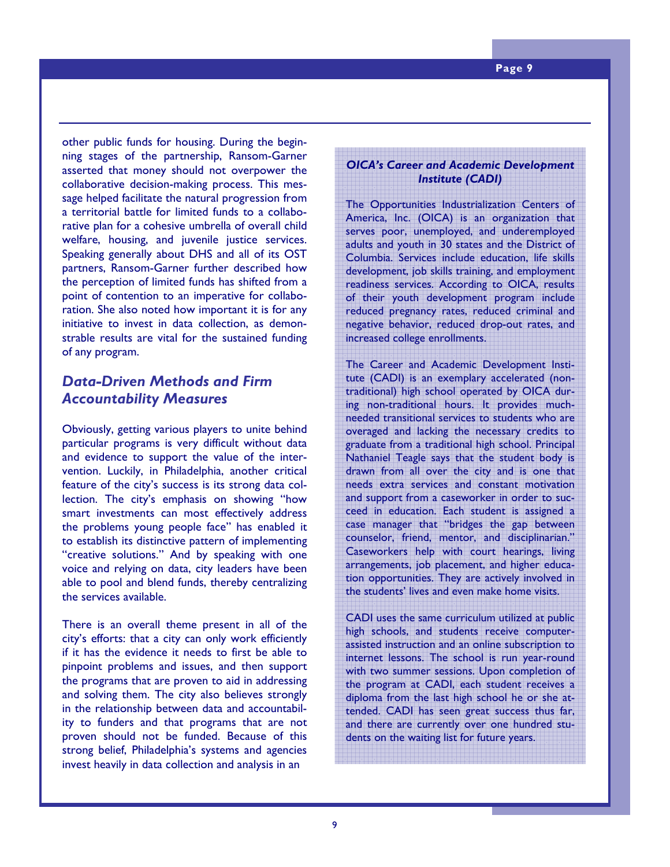other public funds for housing. During the beginning stages of the partnership, Ransom-Garner asserted that money should not overpower the collaborative decision-making process. This message helped facilitate the natural progression from a territorial battle for limited funds to a collaborative plan for a cohesive umbrella of overall child welfare, housing, and juvenile justice services. Speaking generally about DHS and all of its OST partners, Ransom-Garner further described how the perception of limited funds has shifted from a point of contention to an imperative for collaboration. She also noted how important it is for any initiative to invest in data collection, as demonstrable results are vital for the sustained funding of any program.

# *Data-Driven Methods and Firm Accountability Measures*

Obviously, getting various players to unite behind particular programs is very difficult without data and evidence to support the value of the intervention. Luckily, in Philadelphia, another critical feature of the city's success is its strong data collection. The city's emphasis on showing "how smart investments can most effectively address the problems young people face" has enabled it to establish its distinctive pattern of implementing "creative solutions." And by speaking with one voice and relying on data, city leaders have been able to pool and blend funds, thereby centralizing the services available.

the programs that are proven to aid in addressing and solving them. The city also believes strongly in the relationship between data and accountability to funders and that programs that are not proven should not be funded. Because of this **Email: aypf@aypf.org** strong belief, Philadelphia's systems and agencies *To order more copies of this publica-*There is an overall theme present in all of the city's efforts: that a city can only work efficiently if it has the evidence it needs to first be able to pinpoint problems and issues, and then support invest heavily in data collection and analysis in an

## *OICA's Career and Academic Development Institute (CADI)*

The Opportunities Industrialization Centers of America, Inc. (OICA) is an organization that serves poor, unemployed, and underemployed adults and youth in 30 states and the District of Columbia. Services include education, life skills development, job skills training, and employment readiness services. According to OICA, results of their youth development program include reduced pregnancy rates, reduced criminal and negative behavior, reduced drop-out rates, and increased college enrollments.

The Career and Academic Development Institute (CADI) is an exemplary accelerated (nontraditional) high school operated by OICA during non-traditional hours. It provides muchneeded transitional services to students who are overaged and lacking the necessary credits to graduate from a traditional high school. Principal Nathaniel Teagle says that the student body is drawn from all over the city and is one that needs extra services and constant motivation and support from a caseworker in order to succeed in education. Each student is assigned a case manager that "bridges the gap between counselor, friend, mentor, and disciplinarian." Caseworkers help with court hearings, living arrangements, job placement, and higher education opportunities. They are actively involved in the students' lives and even make home visits.

CADI uses the same curriculum utilized at public high schools, and students receive computerassisted instruction and an online subscription to internet lessons. The school is run year-round with two summer sessions. Upon completion of the program at CADI, each student receives a diploma from the last high school he or she attended. CADI has seen great success thus far, and there are currently over one hundred students on the waiting list for future years.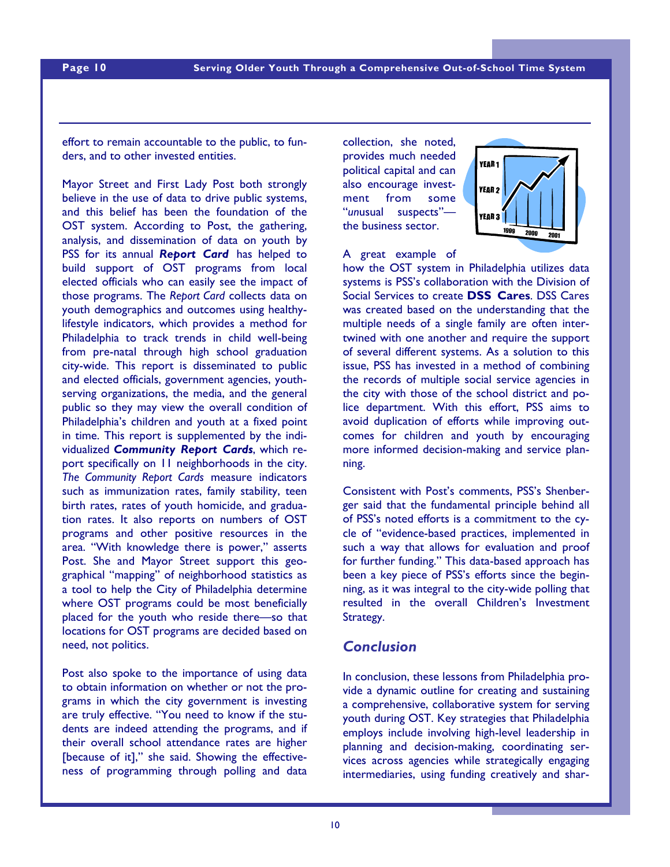effort to remain accountable to the public, to funders, and to other invested entities.

Mayor Street and First Lady Post both strongly believe in the use of data to drive public systems, and this belief has been the foundation of the OST system. According to Post, the gathering, analysis, and dissemination of data on youth by PSS for its annual *Report Card* has helped to build support of OST programs from local elected officials who can easily see the impact of those programs. The *Report Card* collects data on youth demographics and outcomes using healthylifestyle indicators, which provides a method for Philadelphia to track trends in child well-being from pre-natal through high school graduation city-wide. This report is disseminated to public and elected officials, government agencies, youthserving organizations, the media, and the general public so they may view the overall condition of Philadelphia's children and youth at a fixed point in time. This report is supplemented by the individualized *Community Report Cards*, which report specifically on 11 neighborhoods in the city. *The Community Report Cards* measure indicators such as immunization rates, family stability, teen birth rates, rates of youth homicide, and graduation rates. It also reports on numbers of OST programs and other positive resources in the area. "With knowledge there is power," asserts Post. She and Mayor Street support this geographical "mapping" of neighborhood statistics as a tool to help the City of Philadelphia determine where OST programs could be most beneficially placed for the youth who reside there—so that locations for OST programs are decided based on need, not politics.

to obtain information on whether or not the programs in which the city government is investing ر<br>Way truly offective <sup>4</sup> are truly effective. "You need to know if the students are indeed attending the programs, and if their overall school attendance rates are higher [because of it]," she said. Showing the effective-*To order more copies of this publica-*ness of programming through polling and data Post also spoke to the importance of using data

collection, she noted, provides much needed political capital and can also encourage investment from some "*un*usual suspects" the business sector.



#### A great example of

how the OST system in Philadelphia utilizes data systems is PSS's collaboration with the Division of Social Services to create **DSS Cares**. DSS Cares was created based on the understanding that the multiple needs of a single family are often intertwined with one another and require the support of several different systems. As a solution to this issue, PSS has invested in a method of combining the records of multiple social service agencies in the city with those of the school district and police department. With this effort, PSS aims to avoid duplication of efforts while improving outcomes for children and youth by encouraging more informed decision-making and service planning.

Consistent with Post's comments, PSS's Shenberger said that the fundamental principle behind all of PSS's noted efforts is a commitment to the cycle of "evidence-based practices, implemented in such a way that allows for evaluation and proof for further funding." This data-based approach has been a key piece of PSS's efforts since the beginning, as it was integral to the city-wide polling that resulted in the overall Children's Investment Strategy.

# *Conclusion*

In conclusion, these lessons from Philadelphia provide a dynamic outline for creating and sustaining a comprehensive, collaborative system for serving youth during OST. Key strategies that Philadelphia employs include involving high-level leadership in planning and decision-making, coordinating services across agencies while strategically engaging intermediaries, using funding creatively and shar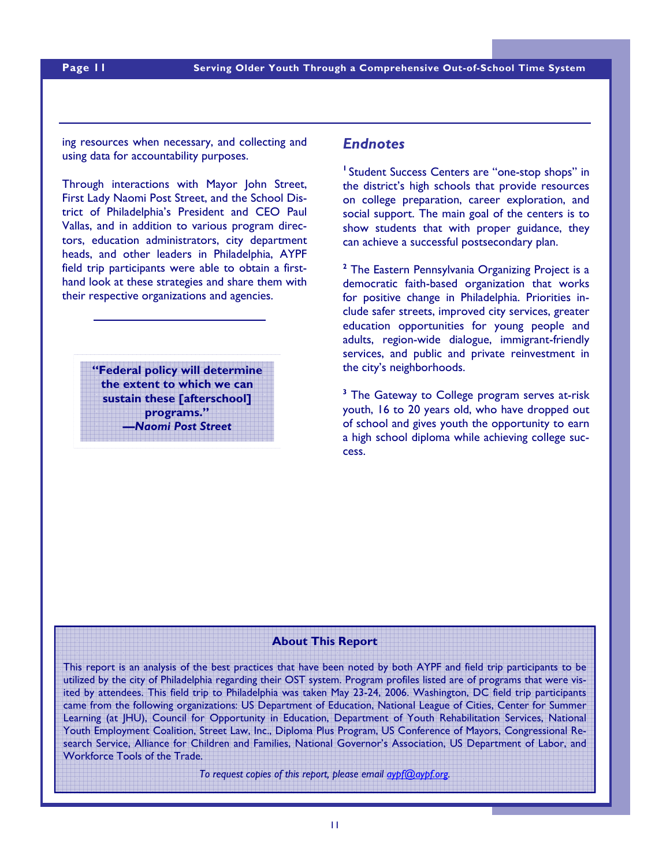ing resources when necessary, and collecting and using data for accountability purposes.

Through interactions with Mayor John Street, First Lady Naomi Post Street, and the School District of Philadelphia's President and CEO Paul Vallas, and in addition to various program directors, education administrators, city department heads, and other leaders in Philadelphia, AYPF field trip participants were able to obtain a firsthand look at these strategies and share them with their respective organizations and agencies.

> **"Federal policy will determine the extent to which we can sustain these [afterschool] programs."**  *—Naomi Post Street*

*To order more copies of this publication, please email aypf@aypf.org.* 

#### *Endnotes*

<sup>1</sup> Student Success Centers are "one-stop shops" in the district's high schools that provide resources on college preparation, career exploration, and social support. The main goal of the centers is to show students that with proper guidance, they can achieve a successful postsecondary plan.

**2** The Eastern Pennsylvania Organizing Project is a democratic faith-based organization that works for positive change in Philadelphia. Priorities include safer streets, improved city services, greater education opportunities for young people and adults, region-wide dialogue, immigrant-friendly services, and public and private reinvestment in the city's neighborhoods.

<sup>3</sup> The Gateway to College program serves at-risk youth, 16 to 20 years old, who have dropped out of school and gives youth the opportunity to earn a high school diploma while achieving college success.

#### **About This Report**

atterd by attendees. This field trip to Philadelphia was taken May 23-24, 2006. Washington, DC field trip participants **1836 The Place of Place** came from the following organizations: US Department of Education, National League of Cities, Center for Summer Learning (at JHU), Council for Opportunity in Education, Department of Youth Rehabilitation Services, National Youth Employment Coalition, Street Law, Inc., Diploma Plus Program, US Conference of Mayors, Congressional Research Service, Alliance for Children and Families, National Governor's Association, US Department of Labor, and Workforce Tools of the Trade. This report is an analysis of the best practices that have been noted by both AYPF and field trip participants to be utilized by the city of Philadelphia regarding their OST system. Program profiles listed are of programs that were vis-

*To request copies of this report, please email aypf@aypf.org.*